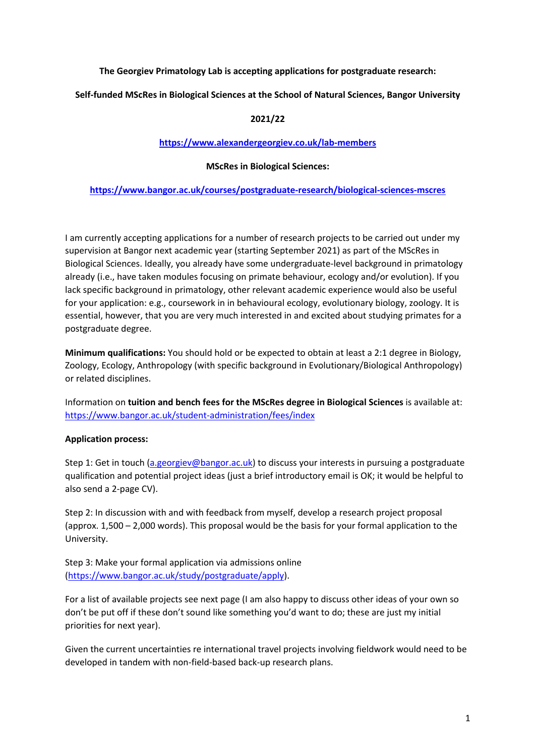# **The Georgiev Primatology Lab is accepting applications for postgraduate research:**

## **Self-funded MScRes in Biological Sciences at the School of Natural Sciences, Bangor University**

## **2021/22**

## **https://www.alexandergeorgiev.co.uk/lab-members**

### **MScRes in Biological Sciences:**

#### **https://www.bangor.ac.uk/courses/postgraduate-research/biological-sciences-mscres**

I am currently accepting applications for a number of research projects to be carried out under my supervision at Bangor next academic year (starting September 2021) as part of the MScRes in Biological Sciences. Ideally, you already have some undergraduate-level background in primatology already (i.e., have taken modules focusing on primate behaviour, ecology and/or evolution). If you lack specific background in primatology, other relevant academic experience would also be useful for your application: e.g., coursework in in behavioural ecology, evolutionary biology, zoology. It is essential, however, that you are very much interested in and excited about studying primates for a postgraduate degree.

**Minimum qualifications:** You should hold or be expected to obtain at least a 2:1 degree in Biology, Zoology, Ecology, Anthropology (with specific background in Evolutionary/Biological Anthropology) or related disciplines.

Information on **tuition and bench fees for the MScRes degree in Biological Sciences** is available at: https://www.bangor.ac.uk/student-administration/fees/index

#### **Application process:**

Step 1: Get in touch (a.georgiev@bangor.ac.uk) to discuss your interests in pursuing a postgraduate qualification and potential project ideas (just a brief introductory email is OK; it would be helpful to also send a 2-page CV).

Step 2: In discussion with and with feedback from myself, develop a research project proposal (approx. 1,500 – 2,000 words). This proposal would be the basis for your formal application to the University.

Step 3: Make your formal application via admissions online (https://www.bangor.ac.uk/study/postgraduate/apply).

For a list of available projects see next page (I am also happy to discuss other ideas of your own so don't be put off if these don't sound like something you'd want to do; these are just my initial priorities for next year).

Given the current uncertainties re international travel projects involving fieldwork would need to be developed in tandem with non-field-based back-up research plans.